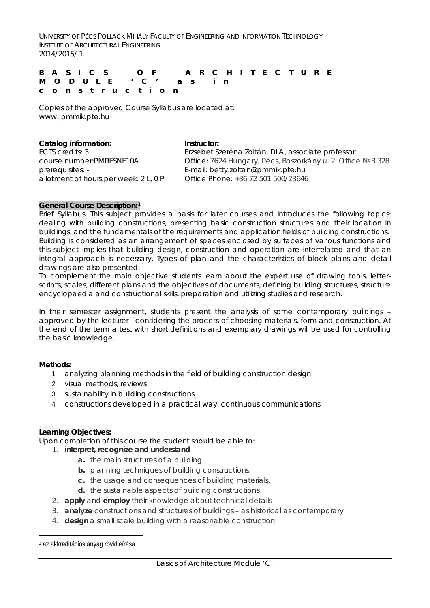UNIVERSITY OF PÉCS POLLACK MIHÁLY FACULTY OF ENGINEERING AND INFORMATION TECHNOLOGY INSTITUTE OF ARCHITECTURAL ENGINEERING 2014/2015/ 1.

**BASIC S OF ARCHITECTURE MODULE 'C' as in construction**

Copies of the approved Course Syllabus are located at: www. pmmik.pte.hu

| Instructor:                                                 |
|-------------------------------------------------------------|
| Erzsébet Szeréna Zoltán, DLA, associate professor           |
| Office: 7624 Hungary, Pécs, Boszorkány u. 2. Office NºB 328 |
| E-mail: betty.zoltan@pmmik.pte.hu                           |
| Office Phone: +36 72 501 500/23646                          |
|                                                             |

# **General Course Description:[1](#page-0-0)**

Brief Syllabus: This subject provides a basis for later courses and introduces the following topics: dealing with building constructions, presenting basic construction structures and their location in buildings, and the fundamentals of the requirements and application fields of building constructions. Building is considered as an arrangement of spaces enclosed by surfaces of various functions and this subject implies that building design, construction and operation are interrelated and that an integral approach is necessary. Types of plan and the characteristics of block plans and detail drawings are also presented.

To complement the main objective students learn about the expert use of drawing tools, letterscripts, scales, different plans and the objectives of documents, defining building structures, structure encyclopaedia and constructional skills, preparation and utilizing studies and research.

In their semester assignment, students present the analysis of some contemporary buildings approved by the lecturer - considering the process of choosing materials, form and construction. At the end of the term a test with short definitions and exemplary drawings will be used for controlling the basic knowledge.

# **Methods:**

- 1. analyzing planning methods in the field of building construction design
- 2. visual methods, reviews
- 3. sustainability in building constructions
- 4. constructions developed in a practical way, continuous communications

### **Learning Objectives:**

Upon completion of this course the student should be able to:

### 1. **interpret, recognize and understand**

- **a.** the main structures of a building,
- **b.** planning techniques of building constructions,
- **c.** the usage and consequences of building materials,
- **d.** the sustainable aspects of building constructions
- 2. **apply** and **employ** their knowledge about technical details
- 3. **analyze** constructions and structures of buildings as historical as contemporary
- 4. **design** a small scale building with a reasonable construction

<span id="page-0-0"></span><sup>1</sup> az akkreditációs anyag rövidleírása —<br>—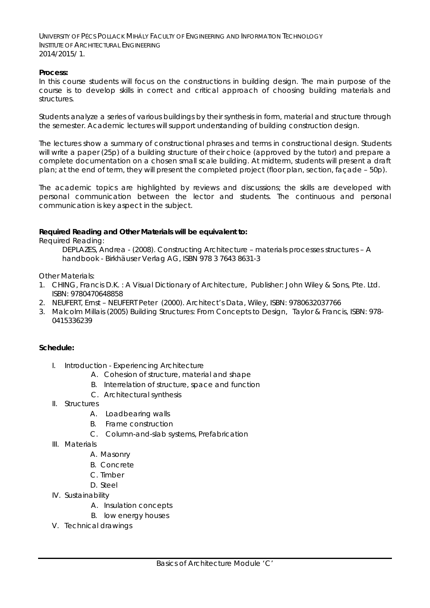UNIVERSITY OF PÉCS POLLACK MIHÁLY FACULTY OF ENGINEERING AND INFORMATION TECHNOLOGY INSTITUTE OF ARCHITECTURAL ENGINEERING 2014/2015/ 1.

## **Process:**

In this course students will focus on the constructions in building design. The main purpose of the course is to develop skills in correct and critical approach of choosing building materials and structures.

Students analyze a series of various buildings by their synthesis in form, material and structure through the semester. Academic lectures will support understanding of building construction design.

The lectures show a summary of constructional phrases and terms in constructional design. Students will write a paper (25p) of a building structure of their choice (approved by the tutor) and prepare a complete documentation on a chosen small scale building. At midterm, students will present a draft plan; at the end of term, they will present the completed project (floor plan, section, façade – 50p).

The academic topics are highlighted by reviews and discussions; the skills are developed with personal communication between the lector and students. The continuous and personal communication is key aspect in the subject.

## **Required Reading and Other Materials will be equivalent to:**

*Required Reading:*

DEPLAZES, Andrea - (2008). *Constructing Architecture – materials processes structures – A handbook* - Birkhäuser Verlag AG, ISBN 978 3 7643 8631-3

*Other Materials:*

- 1. CHING, Francis D.K. : *A Visual Dictionary of Architecture*, Publisher: John Wiley & Sons, Pte. Ltd. ISBN: 9780470648858
- 2. NEUFERT, Ernst NEUFERT Peter (2000). *Architect's Data*, Wiley, ISBN: 9780632037766
- 3. Malcolm Millais (2005*) Building Structures: From Concepts to Design*, Taylor & Francis, ISBN: 978- 0415336239

# **Schedule:**

- I. Introduction Experiencing Architecture
	- A. Cohesion of structure, material and shape
	- B. Interrelation of structure, space and function
	- C. Architectural synthesis
- II. Structures
	- A. Loadbearing walls
	- B. Frame construction
	- C. Column-and-slab systems, Prefabrication
- III. Materials
	- A. Masonry
	- B. Concrete
	- C. Timber
	- D. Steel
- IV. Sustainability
	- A. Insulation concepts
	- B. low energy houses
- V. Technical drawings